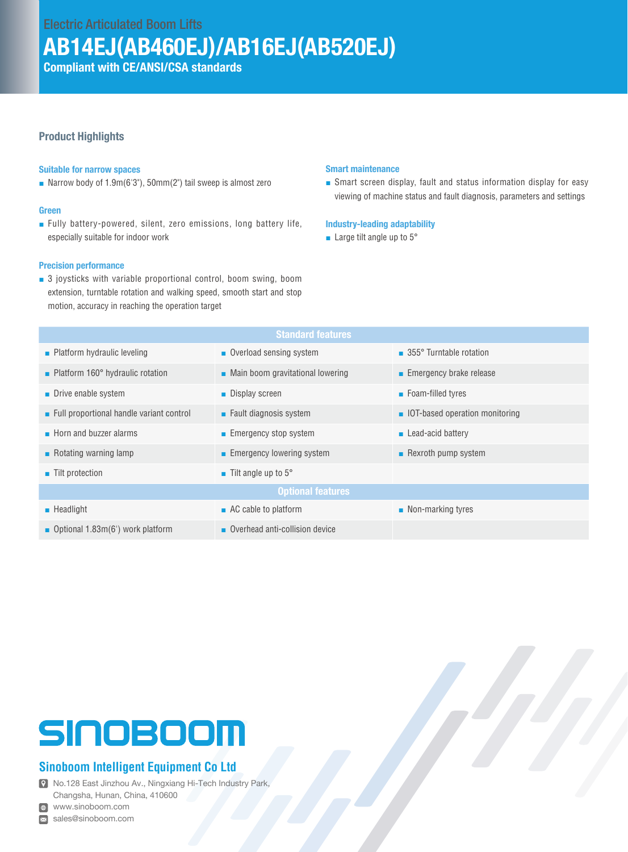Electric Articulated Boom Lifts

# AB14EJ(AB460EJ)/AB16EJ(AB520EJ)

Compliant with CE/ANSI/CSA standards

### Product Highlights

#### Suitable for narrow spaces

■ Narrow body of 1.9m(6'3"), 50mm(2") tail sweep is almost zero

#### Green

■ Fully battery-powered, silent, zero emissions, long battery life, especially suitable for indoor work

#### Precision performance

■ 3 joysticks with variable proportional control, boom swing, boom extension, turntable rotation and walking speed, smooth start and stop motion, accuracy in reaching the operation target

#### Smart maintenance

■ Smart screen display, fault and status information display for easy viewing of machine status and fault diagnosis, parameters and settings

#### Industry-leading adaptability

■ Large tilt angle up to 5°

| <b>Standard features</b>                     |                                                 |                                       |  |  |  |
|----------------------------------------------|-------------------------------------------------|---------------------------------------|--|--|--|
| $\blacksquare$ Platform hydraulic leveling   | • Overload sensing system                       | ■ 355° Turntable rotation             |  |  |  |
| • Platform 160° hydraulic rotation           | $\blacksquare$ Main boom gravitational lowering | <b>Emergency brake release</b>        |  |  |  |
| $\blacksquare$ Drive enable system           | • Display screen                                | ■ Foam-filled tyres                   |  |  |  |
| Full proportional handle variant control     | $\blacksquare$ Fault diagnosis system           | <b>IOT-based operation monitoring</b> |  |  |  |
| $\blacksquare$ Horn and buzzer alarms        | ■ Emergency stop system                         | $\blacksquare$ Lead-acid battery      |  |  |  |
| Rotating warning lamp                        | Emergency lowering system                       | Rexroth pump system                   |  |  |  |
| ■ Tilt protection                            | $\blacksquare$ Tilt angle up to 5 $\degree$     |                                       |  |  |  |
| <b>Optional features</b>                     |                                                 |                                       |  |  |  |
| $\blacksquare$ Headlight                     | $\blacksquare$ AC cable to platform             | $\blacksquare$ Non-marking tyres      |  |  |  |
| <b>D</b> Optional 1.83 $m(6')$ work platform | Overhead anti-collision device                  |                                       |  |  |  |

# SINOBOOM

## **Sinoboom Intelligent Equipment Co Ltd**

No.128 East Jinzhou Av., Ningxiang Hi-Tech Industry Park, Changsha, Hunan, China, 410600

www.sinoboom.com

sales@sinoboom.com